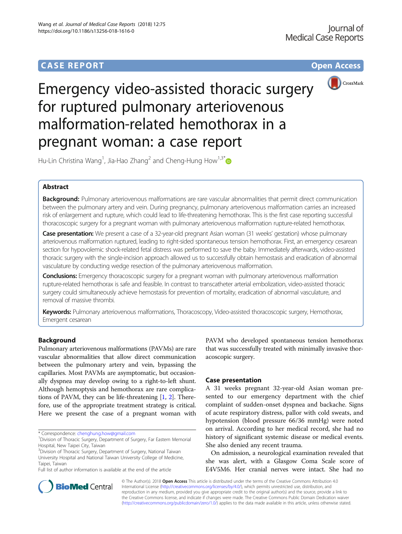# **CASE REPORT CASE REPORT CASE REPORT**



Emergency video-assisted thoracic surgery for ruptured pulmonary arteriovenous malformation-related hemothorax in a pregnant woman: a case report

Hu-Lin Christina Wang<sup>1</sup>, Jia-Hao Zhang<sup>2</sup> and Cheng-Hung How<sup>1,3[\\*](http://orcid.org/0000-0001-7156-1153)</sup>

## Abstract

Background: Pulmonary arteriovenous malformations are rare vascular abnormalities that permit direct communication between the pulmonary artery and vein. During pregnancy, pulmonary arteriovenous malformation carries an increased risk of enlargement and rupture, which could lead to life-threatening hemothorax. This is the first case reporting successful thoracoscopic surgery for a pregnant woman with pulmonary arteriovenous malformation rupture-related hemothorax.

Case presentation: We present a case of a 32-year-old pregnant Asian woman (31 weeks' gestation) whose pulmonary arteriovenous malformation ruptured, leading to right-sided spontaneous tension hemothorax. First, an emergency cesarean section for hypovolemic shock-related fetal distress was performed to save the baby. Immediately afterwards, video-assisted thoracic surgery with the single-incision approach allowed us to successfully obtain hemostasis and eradication of abnormal vasculature by conducting wedge resection of the pulmonary arteriovenous malformation.

**Conclusions:** Emergency thoracoscopic surgery for a pregnant woman with pulmonary arteriovenous malformation rupture-related hemothorax is safe and feasible. In contrast to transcatheter arterial embolization, video-assisted thoracic surgery could simultaneously achieve hemostasis for prevention of mortality, eradication of abnormal vasculature, and removal of massive thrombi.

Keywords: Pulmonary arteriovenous malformations, Thoracoscopy, Video-assisted thoracoscopic surgery, Hemothorax, Emergent cesarean

## Background

Pulmonary arteriovenous malformations (PAVMs) are rare vascular abnormalities that allow direct communication between the pulmonary artery and vein, bypassing the capillaries. Most PAVMs are asymptomatic, but occasionally dyspnea may develop owing to a right-to-left shunt. Although hemoptysis and hemothorax are rare complications of PAVM, they can be life-threatening [[1,](#page-3-0) [2\]](#page-3-0). Therefore, use of the appropriate treatment strategy is critical. Here we present the case of a pregnant woman with

\* Correspondence: [chenghung.how@gmail.com](mailto:chenghung.how@gmail.com) <sup>1</sup>

<sup>3</sup> Division of Thoracic Surgery, Department of Surgery, National Taiwan University Hospital and National Taiwan University College of Medicine, Taipei, Taiwan

Full list of author information is available at the end of the article

PAVM who developed spontaneous tension hemothorax that was successfully treated with minimally invasive thoracoscopic surgery.

## Case presentation

A 31 weeks pregnant 32-year-old Asian woman presented to our emergency department with the chief complaint of sudden-onset dyspnea and backache. Signs of acute respiratory distress, pallor with cold sweats, and hypotension (blood pressure 66/36 mmHg) were noted on arrival. According to her medical record, she had no history of significant systemic disease or medical events. She also denied any recent trauma.

On admission, a neurological examination revealed that she was alert, with a Glasgow Coma Scale score of E4V5M6. Her cranial nerves were intact. She had no



© The Author(s). 2018 Open Access This article is distributed under the terms of the Creative Commons Attribution 4.0 International License [\(http://creativecommons.org/licenses/by/4.0/](http://creativecommons.org/licenses/by/4.0/)), which permits unrestricted use, distribution, and reproduction in any medium, provided you give appropriate credit to the original author(s) and the source, provide a link to the Creative Commons license, and indicate if changes were made. The Creative Commons Public Domain Dedication waiver [\(http://creativecommons.org/publicdomain/zero/1.0/](http://creativecommons.org/publicdomain/zero/1.0/)) applies to the data made available in this article, unless otherwise stated.

<sup>&</sup>lt;sup>1</sup> Division of Thoracic Surgery, Department of Surgery, Far Eastern Memorial Hospital, New Taipei City, Taiwan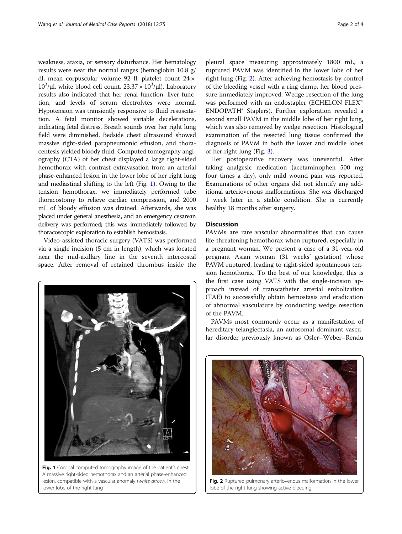weakness, ataxia, or sensory disturbance. Her hematology results were near the normal ranges (hemoglobin 10.8 g/ dl, mean corpuscular volume 92 fl, platelet count 24 ×  $10^3$ /μl, white blood cell count,  $23.37 \times 10^3$ /μl). Laboratory results also indicated that her renal function, liver function, and levels of serum electrolytes were normal. Hypotension was transiently responsive to fluid resuscitation. A fetal monitor showed variable decelerations, indicating fetal distress. Breath sounds over her right lung field were diminished. Bedside chest ultrasound showed massive right-sided parapneumonic effusion, and thoracentesis yielded bloody fluid. Computed tomography angiography (CTA) of her chest displayed a large right-sided hemothorax with contrast extravasation from an arterial phase-enhanced lesion in the lower lobe of her right lung and mediastinal shifting to the left (Fig. 1). Owing to the tension hemothorax, we immediately performed tube thoracostomy to relieve cardiac compression, and 2000 mL of bloody effusion was drained. Afterwards, she was placed under general anesthesia, and an emergency cesarean delivery was performed; this was immediately followed by thoracoscopic exploration to establish hemostasis.

Video-assisted thoracic surgery (VATS) was performed via a single incision (5 cm in length), which was located near the mid-axillary line in the seventh intercostal space. After removal of retained thrombus inside the



Fig. 1 Coronal computed tomography image of the patient's chest. A massive right-sided hemothorax and an arterial phase-enhanced lesion, compatible with a vascular anomaly (white arrow), in the lower lobe of the right lung

pleural space measuring approximately 1800 mL, a ruptured PAVM was identified in the lower lobe of her right lung (Fig. 2). After achieving hemostasis by control of the bleeding vessel with a ring clamp, her blood pressure immediately improved. Wedge resection of the lung was performed with an endostapler (ECHELON FLEX™ ENDOPATH® Staplers). Further exploration revealed a second small PAVM in the middle lobe of her right lung, which was also removed by wedge resection. Histological examination of the resected lung tissue confirmed the diagnosis of PAVM in both the lower and middle lobes of her right lung (Fig. [3](#page-2-0)).

Her postoperative recovery was uneventful. After taking analgesic medication (acetaminophen 500 mg four times a day), only mild wound pain was reported. Examinations of other organs did not identify any additional arteriovenous malformations. She was discharged 1 week later in a stable condition. She is currently healthy 18 months after surgery.

## **Discussion**

PAVMs are rare vascular abnormalities that can cause life-threatening hemothorax when ruptured, especially in a pregnant woman. We present a case of a 31-year-old pregnant Asian woman (31 weeks' gestation) whose PAVM ruptured, leading to right-sided spontaneous tension hemothorax. To the best of our knowledge, this is the first case using VATS with the single-incision approach instead of transcatheter arterial embolization (TAE) to successfully obtain hemostasis and eradication of abnormal vasculature by conducting wedge resection of the PAVM.

PAVMs most commonly occur as a manifestation of hereditary telangiectasia, an autosomal dominant vascular disorder previously known as Osler–Weber–Rendu



Fig. 2 Ruptured pulmonary arteriovenous malformation in the lower lobe of the right lung showing active bleeding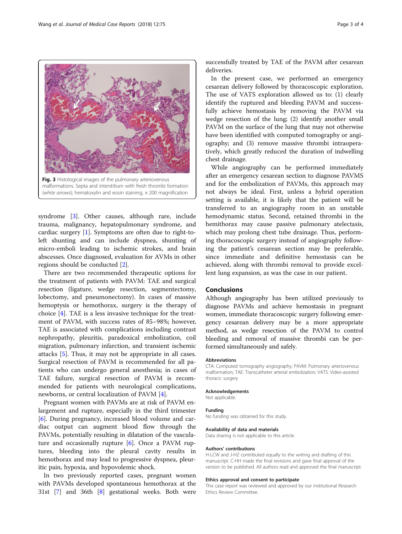syndrome [\[3](#page-3-0)]. Other causes, although rare, include trauma, malignancy, hepatopulmonary syndrome, and cardiac surgery [[1\]](#page-3-0). Symptoms are often due to right-toleft shunting and can include dyspnea, shunting of micro-emboli leading to ischemic strokes, and brain abscesses. Once diagnosed, evaluation for AVMs in other regions should be conducted [[2\]](#page-3-0).

There are two recommended therapeutic options for the treatment of patients with PAVM: TAE and surgical resection (ligature, wedge resection, segmentectomy, lobectomy, and pneumonectomy). In cases of massive hemoptysis or hemothorax, surgery is the therapy of choice [\[4](#page-3-0)]. TAE is a less invasive technique for the treatment of PAVM, with success rates of 85–98%; however, TAE is associated with complications including contrast nephropathy, pleuritis, paradoxical embolization, coil migration, pulmonary infarction, and transient ischemic attacks [[5\]](#page-3-0). Thus, it may not be appropriate in all cases. Surgical resection of PAVM is recommended for all patients who can undergo general anesthesia; in cases of TAE failure, surgical resection of PAVM is recommended for patients with neurological complications, newborns, or central localization of PAVM [\[4](#page-3-0)].

Pregnant women with PAVMs are at risk of PAVM enlargement and rupture, especially in the third trimester [[6\]](#page-3-0). During pregnancy, increased blood volume and cardiac output can augment blood flow through the PAVMs, potentially resulting in dilatation of the vasculature and occasionally rupture [\[6](#page-3-0)]. Once a PAVM ruptures, bleeding into the pleural cavity results in hemothorax and may lead to progressive dyspnea, pleuritic pain, hypoxia, and hypovolemic shock.

In two previously reported cases, pregnant women with PAVMs developed spontaneous hemothorax at the 31st [\[7](#page-3-0)] and 36th [\[8](#page-3-0)] gestational weeks. Both were successfully treated by TAE of the PAVM after cesarean deliveries.

In the present case, we performed an emergency cesarean delivery followed by thoracoscopic exploration. The use of VATS exploration allowed us to: (1) clearly identify the ruptured and bleeding PAVM and successfully achieve hemostasis by removing the PAVM via wedge resection of the lung; (2) identify another small PAVM on the surface of the lung that may not otherwise have been identified with computed tomography or angiography; and (3) remove massive thrombi intraoperatively, which greatly reduced the duration of indwelling chest drainage.

While angiography can be performed immediately after an emergency cesarean section to diagnose PAVMS and for the embolization of PAVMs, this approach may not always be ideal. First, unless a hybrid operation setting is available, it is likely that the patient will be transferred to an angiography room in an unstable hemodynamic status. Second, retained thrombi in the hemithorax may cause passive pulmonary atelectasis, which may prolong chest tube drainage. Thus, performing thoracoscopic surgery instead of angiography following the patient's cesarean section may be preferable, since immediate and definitive hemostasis can be achieved, along with thrombi removal to provide excellent lung expansion, as was the case in our patient.

## **Conclusions**

Although angiography has been utilized previously to diagnose PAVMs and achieve hemostasis in pregnant women, immediate thoracoscopic surgery following emergency cesarean delivery may be a more appropriate method, as wedge resection of the PAVM to control bleeding and removal of massive thrombi can be performed simultaneously and safely.

#### Abbreviations

CTA: Computed tomography angiography; PAVM: Pulmonary arteriovenous malformation; TAE: Transcatheter arterial embolization; VATS: Video-assisted thoracic surgery

#### Acknowledgements

Not applicable.

#### Funding

No funding was obtained for this study.

#### Availability of data and materials

Data sharing is not applicable to this article.

#### Authors' contributions

H-LCW and J-HZ contributed equally to the writing and drafting of this manuscript. C-HH made the final revisions and gave final approval of the version to be published. All authors read and approved the final manuscript.

#### Ethics approval and consent to participate

This case report was reviewed and approved by our institutional Research Ethics Review Committee.

Fig. 3 Histological images of the pulmonary arteriovenous malformations. Septa and interstitium with fresh thrombi formation (white arrows); hematoxylin and eosin staining,  $\times$  200 magnification

<span id="page-2-0"></span>